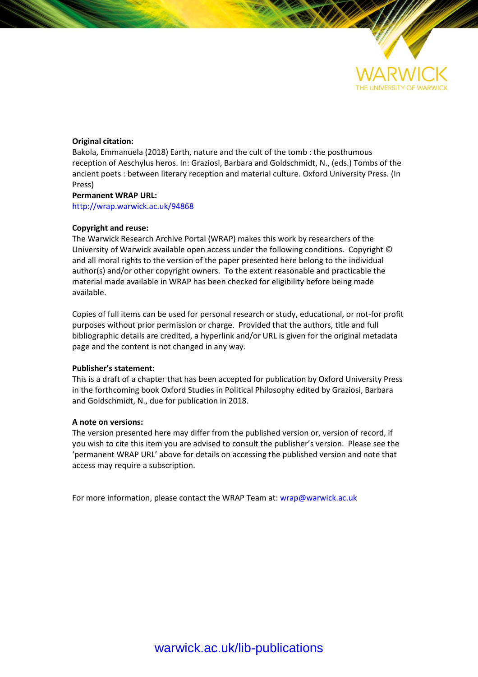

## **Original citation:**

Bakola, Emmanuela (2018) Earth, nature and the cult of the tomb : the posthumous reception of Aeschylus heros. In: Graziosi, Barbara and Goldschmidt, N., (eds.) Tombs of the ancient poets : between literary reception and material culture. Oxford University Press. (In Press)

## **Permanent WRAP URL:**

<http://wrap.warwick.ac.uk/94868>

## **Copyright and reuse:**

The Warwick Research Archive Portal (WRAP) makes this work by researchers of the University of Warwick available open access under the following conditions. Copyright © and all moral rights to the version of the paper presented here belong to the individual author(s) and/or other copyright owners. To the extent reasonable and practicable the material made available in WRAP has been checked for eligibility before being made available.

Copies of full items can be used for personal research or study, educational, or not-for profit purposes without prior permission or charge. Provided that the authors, title and full bibliographic details are credited, a hyperlink and/or URL is given for the original metadata page and the content is not changed in any way.

### **Publisher's statement:**

This is a draft of a chapter that has been accepted for publication by Oxford University Press in the forthcoming book Oxford Studies in Political Philosophy edited by Graziosi, Barbara and Goldschmidt, N., due for publication in 2018.

### **A note on versions:**

The version presented here may differ from the published version or, version of record, if you wish to cite this item you are advised to consult the publisher's version. Please see the 'permanent WRAP URL' above for details on accessing the published version and note that access may require a subscription.

For more information, please contact the WRAP Team at[: wrap@warwick.ac.uk](mailto:wrap@warwick.ac.uk)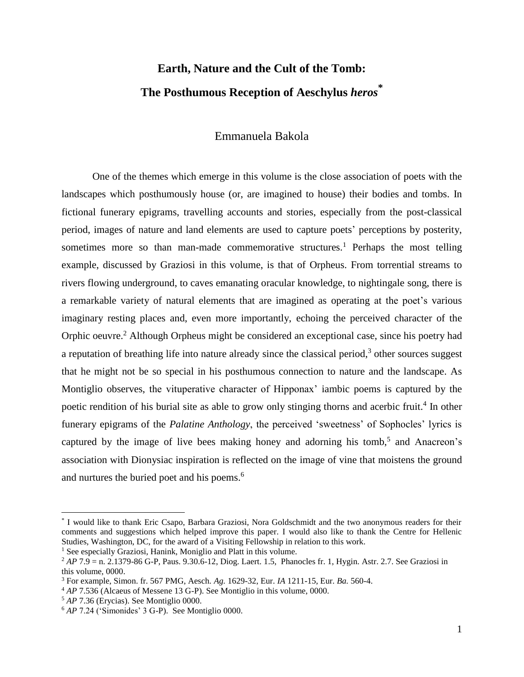# **Earth, Nature and the Cult of the Tomb: The Posthumous Reception of Aeschylus** *heros***\***

## Emmanuela Bakola

One of the themes which emerge in this volume is the close association of poets with the landscapes which posthumously house (or, are imagined to house) their bodies and tombs. In fictional funerary epigrams, travelling accounts and stories, especially from the post-classical period, images of nature and land elements are used to capture poets' perceptions by posterity, sometimes more so than man-made commemorative structures.<sup>1</sup> Perhaps the most telling example, discussed by Graziosi in this volume, is that of Orpheus. From torrential streams to rivers flowing underground, to caves emanating oracular knowledge, to nightingale song, there is a remarkable variety of natural elements that are imagined as operating at the poet's various imaginary resting places and, even more importantly, echoing the perceived character of the Orphic oeuvre.<sup>2</sup> Although Orpheus might be considered an exceptional case, since his poetry had a reputation of breathing life into nature already since the classical period, $3$  other sources suggest that he might not be so special in his posthumous connection to nature and the landscape. As Montiglio observes, the vituperative character of Hipponax' iambic poems is captured by the poetic rendition of his burial site as able to grow only stinging thorns and acerbic fruit.<sup>4</sup> In other funerary epigrams of the *Palatine Anthology*, the perceived 'sweetness' of Sophocles' lyrics is captured by the image of live bees making honey and adorning his tomb,<sup>5</sup> and Anacreon's association with Dionysiac inspiration is reflected on the image of vine that moistens the ground and nurtures the buried poet and his poems. 6

<sup>\*</sup> I would like to thank Eric Csapo, Barbara Graziosi, Nora Goldschmidt and the two anonymous readers for their comments and suggestions which helped improve this paper. I would also like to thank the Centre for Hellenic Studies, Washington, DC, for the award of a Visiting Fellowship in relation to this work.

<sup>&</sup>lt;sup>1</sup> See especially Graziosi, Hanink, Moniglio and Platt in this volume.

<sup>2</sup> *AP* 7.9 = n. 2.1379-86 G-P, Paus. 9.30.6-12, Diog. Laert. 1.5, Phanocles fr. 1, Hygin. Astr. 2.7. See Graziosi in this volume, 0000.

<sup>3</sup> For example, Simon. fr. 567 PMG, Aesch. *Ag.* 1629-32, Eur. *IA* 1211-15, Eur. *Ba.* 560-4.

<sup>4</sup> *AP* 7.536 (Alcaeus of Messene 13 G-P). See Montiglio in this volume, 0000.

<sup>5</sup> *AP* 7.36 (Erycias). See Montiglio 0000.

<sup>6</sup> *AP* 7.24 ('Simonides' 3 G-P). See Montiglio 0000.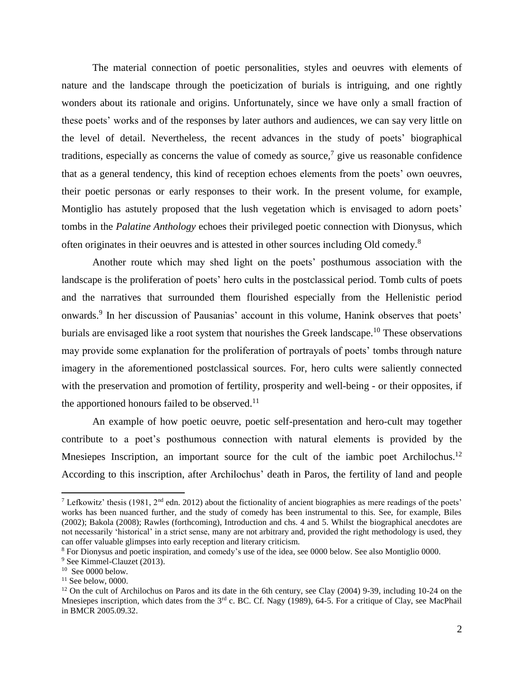The material connection of poetic personalities, styles and oeuvres with elements of nature and the landscape through the poeticization of burials is intriguing, and one rightly wonders about its rationale and origins. Unfortunately, since we have only a small fraction of these poets' works and of the responses by later authors and audiences, we can say very little on the level of detail. Nevertheless, the recent advances in the study of poets' biographical traditions, especially as concerns the value of comedy as source,<sup>7</sup> give us reasonable confidence that as a general tendency, this kind of reception echoes elements from the poets' own oeuvres, their poetic personas or early responses to their work. In the present volume, for example, Montiglio has astutely proposed that the lush vegetation which is envisaged to adorn poets' tombs in the *Palatine Anthology* echoes their privileged poetic connection with Dionysus, which often originates in their oeuvres and is attested in other sources including Old comedy.<sup>8</sup>

Another route which may shed light on the poets' posthumous association with the landscape is the proliferation of poets' hero cults in the postclassical period. Tomb cults of poets and the narratives that surrounded them flourished especially from the Hellenistic period onwards.<sup>9</sup> In her discussion of Pausanias' account in this volume, Hanink observes that poets' burials are envisaged like a root system that nourishes the Greek landscape.<sup>10</sup> These observations may provide some explanation for the proliferation of portrayals of poets' tombs through nature imagery in the aforementioned postclassical sources. For, hero cults were saliently connected with the preservation and promotion of fertility, prosperity and well-being - or their opposites, if the apportioned honours failed to be observed.<sup>11</sup>

An example of how poetic oeuvre, poetic self-presentation and hero-cult may together contribute to a poet's posthumous connection with natural elements is provided by the Mnesiepes Inscription, an important source for the cult of the iambic poet Archilochus.<sup>12</sup> According to this inscription, after Archilochus' death in Paros, the fertility of land and people

<sup>&</sup>lt;sup>7</sup> Lefkowitz' thesis (1981, 2<sup>nd</sup> edn. 2012) about the fictionality of ancient biographies as mere readings of the poets' works has been nuanced further, and the study of comedy has been instrumental to this. See, for example, Biles (2002); Bakola (2008); Rawles (forthcoming), Introduction and chs. 4 and 5. Whilst the biographical anecdotes are not necessarily 'historical' in a strict sense, many are not arbitrary and, provided the right methodology is used, they can offer valuable glimpses into early reception and literary criticism.

<sup>8</sup> For Dionysus and poetic inspiration, and comedy's use of the idea, see 0000 below. See also Montiglio 0000.

<sup>&</sup>lt;sup>9</sup> See Kimmel-Clauzet (2013).

<sup>10</sup> See 0000 below.

 $11$  See below, 0000.

 $12$  On the cult of Archilochus on Paros and its date in the 6th century, see Clay (2004) 9-39, including 10-24 on the Mnesiepes inscription, which dates from the 3<sup>rd</sup> c. BC. Cf. Nagy (1989), 64-5. For a critique of Clay, see MacPhail in BMCR 2005.09.32.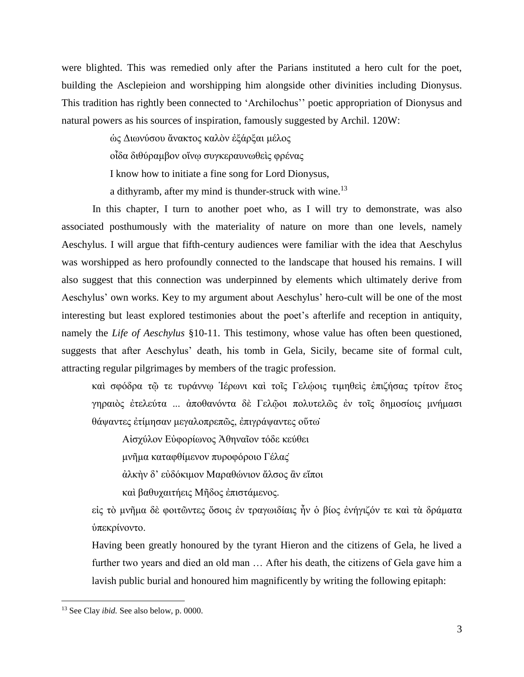were blighted. This was remedied only after the Parians instituted a hero cult for the poet, building the Asclepieion and worshipping him alongside other divinities including Dionysus. This tradition has rightly been connected to 'Archilochus'' poetic appropriation of Dionysus and natural powers as his sources of inspiration, famously suggested by Archil. 120W:

ὡς Διωνύσου ἄνακτος καλὸν ἐξάρξαι μέλος

οἶδα διθύραμβον οἴνῳ συγκεραυνωθεὶς φρένας

I know how to initiate a fine song for Lord Dionysus,

a dithyramb, after my mind is thunder-struck with wine.<sup>13</sup>

In this chapter, I turn to another poet who, as I will try to demonstrate, was also associated posthumously with the materiality of nature on more than one levels, namely Aeschylus. I will argue that fifth-century audiences were familiar with the idea that Aeschylus was worshipped as hero profoundly connected to the landscape that housed his remains. I will also suggest that this connection was underpinned by elements which ultimately derive from Aeschylus' own works. Key to my argument about Aeschylus' hero-cult will be one of the most interesting but least explored testimonies about the poet's afterlife and reception in antiquity, namely the *Life of Aeschylus* §10-11. This testimony, whose value has often been questioned, suggests that after Aeschylus' death, his tomb in Gela, Sicily, became site of formal cult, attracting regular pilgrimages by members of the tragic profession.

καὶ σφόδρα τῶ τε τυράννω Ίέρωνι καὶ τοῖς Γελώοις τιμηθεὶς ἐπιζήσας τρίτον ἔτος γηραιὸς ἐτελεύτα ... ἀποθανόντα δὲ Γελῷοι πολυτελῶς ἐν τοῖς δημοσίοις μνήμασι θάψαντες ἐτίμησαν μεγαλοπρεπῶς, ἐπιγράψαντες οὕτω̇

Αἰσχύλον Εὐφορίωνος Ἀθηναῖον τόδε κεύθει

μνῆμα καταφθίμενον πυροφόροιο Γέλας̇

ἀλκὴν δ' εὐδόκιμον Μαραθώνιον ἄλσος ἂν εἴποι

καὶ βαθυχαιτήεις Μῆδος ἐπιστάμενος.

εἰς τὸ μνῆμα δὲ φοιτῶντες ὅσοις ἐν τραγωιδίαις ἦν ὁ βίος ἐνήγιζόν τε καὶ τὰ δράματα ὑπεκρίνοντο.

Having been greatly honoured by the tyrant Hieron and the citizens of Gela, he lived a further two years and died an old man … After his death, the citizens of Gela gave him a lavish public burial and honoured him magnificently by writing the following epitaph:

<sup>13</sup> See Clay *ibid.* See also below, p. 0000.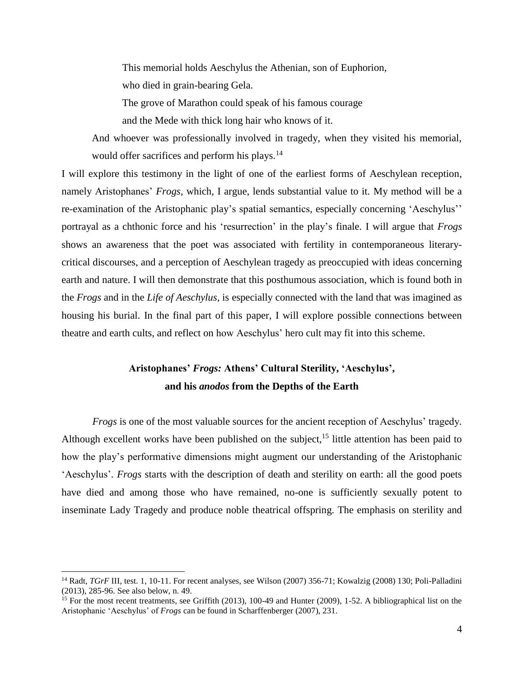This memorial holds Aeschylus the Athenian, son of Euphorion, who died in grain-bearing Gela. The grove of Marathon could speak of his famous courage

and the Mede with thick long hair who knows of it.

And whoever was professionally involved in tragedy, when they visited his memorial, would offer sacrifices and perform his plays.<sup>14</sup>

I will explore this testimony in the light of one of the earliest forms of Aeschylean reception, namely Aristophanes' *Frogs,* which, I argue, lends substantial value to it*.* My method will be a re-examination of the Aristophanic play's spatial semantics*,* especially concerning 'Aeschylus'' portrayal as a chthonic force and his 'resurrection' in the play's finale. I will argue that *Frogs* shows an awareness that the poet was associated with fertility in contemporaneous literarycritical discourses, and a perception of Aeschylean tragedy as preoccupied with ideas concerning earth and nature. I will then demonstrate that this posthumous association, which is found both in the *Frogs* and in the *Life of Aeschylus,* is especially connected with the land that was imagined as housing his burial. In the final part of this paper, I will explore possible connections between theatre and earth cults, and reflect on how Aeschylus' hero cult may fit into this scheme.

## **Aristophanes'** *Frogs:* **Athens' Cultural Sterility, 'Aeschylus', and his** *anodos* **from the Depths of the Earth**

*Frogs* is one of the most valuable sources for the ancient reception of Aeschylus' tragedy*.*  Although excellent works have been published on the subject,  $15$  little attention has been paid to how the play's performative dimensions might augment our understanding of the Aristophanic 'Aeschylus'. *Frogs* starts with the description of death and sterility on earth: all the good poets have died and among those who have remained, no-one is sufficiently sexually potent to inseminate Lady Tragedy and produce noble theatrical offspring. The emphasis on sterility and

<sup>&</sup>lt;sup>14</sup> Radt, *TGrF* III, test. 1, 10-11. For recent analyses, see Wilson (2007) 356-71; Kowalzig (2008) 130; Poli-Palladini (2013), 285-96. See also below, n. 49.

<sup>&</sup>lt;sup>15</sup> For the most recent treatments, see Griffith (2013), 100-49 and Hunter (2009), 1-52. A bibliographical list on the Aristophanic 'Aeschylus' of *Frogs* can be found in Scharffenberger (2007), 231.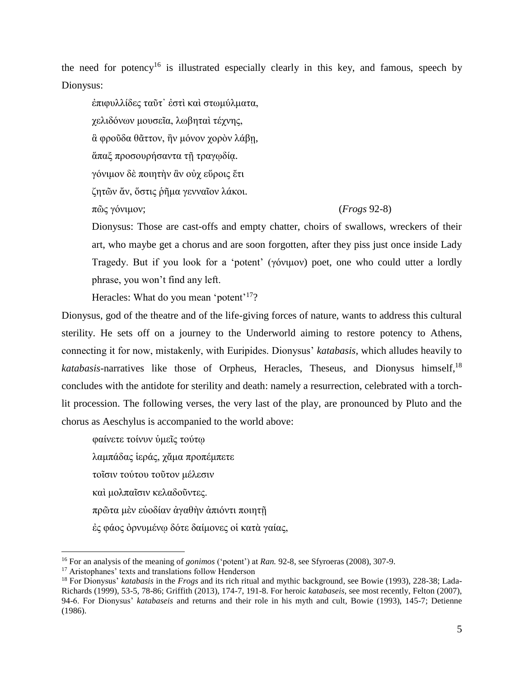the need for potency<sup>16</sup> is illustrated especially clearly in this key, and famous, speech by Dionysus:

ἐπιφυλλίδες ταῦτ᾽ ἐστὶ καὶ στωμύλματα, χελιδόνων μουσεῖα, λωβηταὶ τέχνης, ἃ φροῦδα θᾶττον, ἢν μόνον χορὸν λάβῃ, άπαξ προσουρήσαντα τῆ τραγωδία. γόνιμον δὲ ποιητὴν ἂν οὐχ εὕροις ἔτι ζητῶν ἄν, ὅστις ῥῆμα γενναῖον λάκοι. πῶς γόνιμον; (*Frogs* 92-8)

Dionysus: Those are cast-offs and empty chatter, choirs of swallows, wreckers of their art, who maybe get a chorus and are soon forgotten, after they piss just once inside Lady Tragedy. But if you look for a 'potent' (γόνιμον) poet, one who could utter a lordly phrase, you won't find any left.

Heracles: What do you mean 'potent'<sup>17</sup>?

Dionysus, god of the theatre and of the life-giving forces of nature, wants to address this cultural sterility. He sets off on a journey to the Underworld aiming to restore potency to Athens, connecting it for now, mistakenly, with Euripides. Dionysus' *katabasis*, which alludes heavily to *katabasis*-narratives like those of Orpheus, Heracles, Theseus, and Dionysus himself,<sup>18</sup> concludes with the antidote for sterility and death: namely a resurrection, celebrated with a torchlit procession. The following verses, the very last of the play, are pronounced by Pluto and the chorus as Aeschylus is accompanied to the world above:

φαίνετε τοίνυν ὑμεῖς τούτῳ λαμπάδας ἱεράς, χἄμα προπέμπετε τοῖσιν τούτου τοῦτον μέλεσιν καὶ μολπαῖσιν κελαδοῦντες. πρῶτα μὲν εὐοδίαν ἀγαθὴν ἀπιόντι ποιητῇ ἐς φάος ὀρνυμένῳ δότε δαίμονες οἱ κατὰ γαίας,

l <sup>16</sup> For an analysis of the meaning of *gonimos* ('potent') at *Ran.* 92-8, see Sfyroeras (2008), 307-9.

<sup>&</sup>lt;sup>17</sup> Aristophanes' texts and translations follow Henderson

<sup>18</sup> For Dionysus' *katabasis* in the *Frogs* and its rich ritual and mythic background*,* see Bowie (1993), 228-38; Lada-Richards (1999), 53-5, 78-86; Griffith (2013), 174-7, 191-8. For heroic *katabaseis,* see most recently, Felton (2007), 94-6. For Dionysus' *katabaseis* and returns and their role in his myth and cult*,* Bowie (1993), 145-7; Detienne (1986).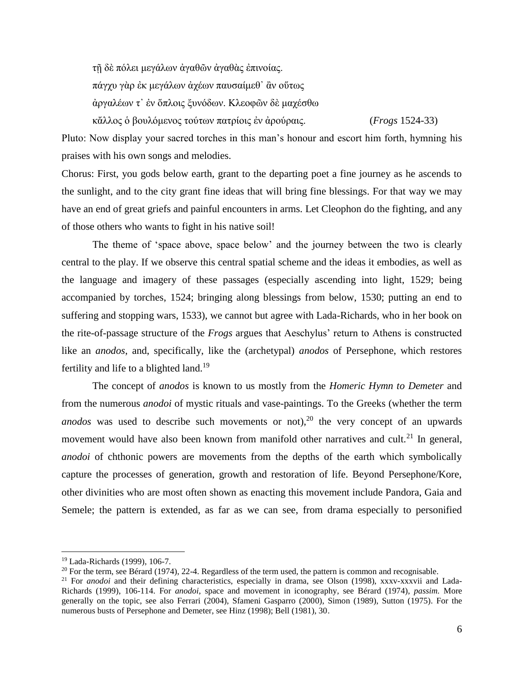τῇ δὲ πόλει μεγάλων ἀγαθῶν ἀγαθὰς ἐπινοίας. πάγχυ γὰρ ἐκ μεγάλων ἀχέων παυσαίμεθ᾽ ἂν οὕτως ἀργαλέων τ᾽ ἐν ὅπλοις ξυνόδων. Κλεοφῶν δὲ μαχέσθω κἄλλος ὁ βουλόμενος τούτων πατρίοις ἐν ἀρούραις. (*Frogs* 1524-33)

Pluto: Now display your sacred torches in this man's honour and escort him forth, hymning his praises with his own songs and melodies.

Chorus: First, you gods below earth, grant to the departing poet a fine journey as he ascends to the sunlight, and to the city grant fine ideas that will bring fine blessings. For that way we may have an end of great griefs and painful encounters in arms. Let Cleophon do the fighting, and any of those others who wants to fight in his native soil!

The theme of 'space above, space below' and the journey between the two is clearly central to the play. If we observe this central spatial scheme and the ideas it embodies, as well as the language and imagery of these passages (especially ascending into light, 1529; being accompanied by torches, 1524; bringing along blessings from below, 1530; putting an end to suffering and stopping wars, 1533), we cannot but agree with Lada-Richards, who in her book on the rite-of-passage structure of the *Frogs* argues that Aeschylus' return to Athens is constructed like an *anodos*, and, specifically, like the (archetypal) *anodos* of Persephone, which restores fertility and life to a blighted land.<sup>19</sup>

The concept of *anodos* is known to us mostly from the *Homeric Hymn to Demeter* and from the numerous *anodoi* of mystic rituals and vase-paintings. To the Greeks (whether the term *anodos* was used to describe such movements or not),<sup>20</sup> the very concept of an upwards movement would have also been known from manifold other narratives and cult.<sup>21</sup> In general, *anodoi* of chthonic powers are movements from the depths of the earth which symbolically capture the processes of generation, growth and restoration of life. Beyond Persephone/Kore, other divinities who are most often shown as enacting this movement include Pandora, Gaia and Semele; the pattern is extended, as far as we can see, from drama especially to personified

l

<sup>19</sup> Lada-Richards (1999), 106-7.

<sup>&</sup>lt;sup>20</sup> For the term, see Bérard (1974), 22-4. Regardless of the term used, the pattern is common and recognisable.

<sup>&</sup>lt;sup>21</sup> For *anodoi* and their defining characteristics, especially in drama, see Olson (1998), xxxv-xxxvii and Lada-Richards (1999), 106-114. For *anodoi*, space and movement in iconography*,* see Bérard (1974), *passim.* More generally on the topic, see also Ferrari (2004), Sfameni Gasparro (2000), Simon (1989), Sutton (1975). For the numerous busts of Persephone and Demeter, see Hinz (1998); Bell (1981), 30.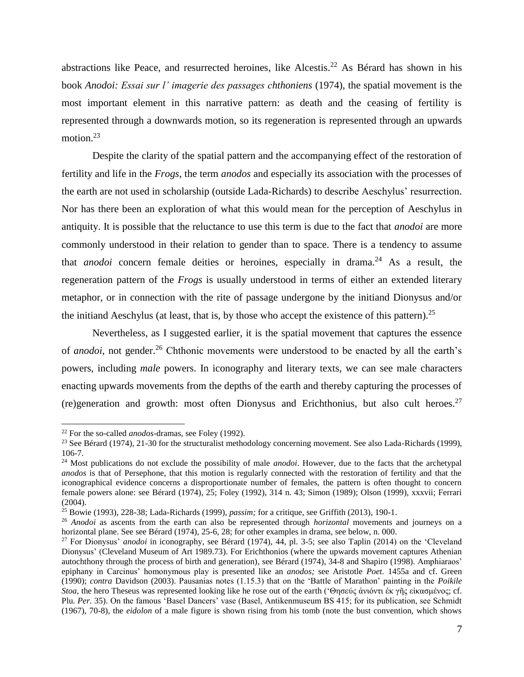abstractions like Peace, and resurrected heroines, like Alcestis.<sup>22</sup> As Bérard has shown in his book *Anodoi: Essai sur l' imagerie des passages chthoniens* (1974), the spatial movement is the most important element in this narrative pattern: as death and the ceasing of fertility is represented through a downwards motion, so its regeneration is represented through an upwards motion.<sup>23</sup>

Despite the clarity of the spatial pattern and the accompanying effect of the restoration of fertility and life in the *Frogs*, the term *anodos* and especially its association with the processes of the earth are not used in scholarship (outside Lada-Richards) to describe Aeschylus' resurrection. Nor has there been an exploration of what this would mean for the perception of Aeschylus in antiquity. It is possible that the reluctance to use this term is due to the fact that *anodoi* are more commonly understood in their relation to gender than to space. There is a tendency to assume that *anodoi* concern female deities or heroines, especially in drama.<sup>24</sup> As a result, the regeneration pattern of the *Frogs* is usually understood in terms of either an extended literary metaphor, or in connection with the rite of passage undergone by the initiand Dionysus and/or the initiand Aeschylus (at least, that is, by those who accept the existence of this pattern).<sup>25</sup>

Nevertheless, as I suggested earlier, it is the spatial movement that captures the essence of *anodoi*, not gender.<sup>26</sup> Chthonic movements were understood to be enacted by all the earth's powers, including *male* powers. In iconography and literary texts, we can see male characters enacting upwards movements from the depths of the earth and thereby capturing the processes of (re)generation and growth: most often Dionysus and Erichthonius, but also cult heroes.<sup>27</sup>

<sup>22</sup> For the so-called *anodos*-dramas, see Foley (1992).

<sup>&</sup>lt;sup>23</sup> See Bérard (1974), 21-30 for the structuralist methodology concerning movement. See also Lada-Richards (1999), 106-7.

<sup>24</sup> Most publications do not exclude the possibility of male *anodoi*. However, due to the facts that the archetypal *anodos* is that of Persephone, that this motion is regularly connected with the restoration of fertility and that the iconographical evidence concerns a disproportionate number of females, the pattern is often thought to concern female powers alone: see Bérard (1974), 25; Foley (1992), 314 n. 43; Simon (1989); Olson (1999), xxxvii; Ferrari (2004).

<sup>25</sup> Bowie (1993), 228-38; Lada-Richards (1999), *passim;* for a critique, see Griffith (2013), 190-1.

<sup>26</sup> *Anodoi* as ascents from the earth can also be represented through *horizontal* movements and journeys on a horizontal plane. See see Bérard (1974), 25-6, 28; for other examples in drama, see below, n. 000.

<sup>27</sup> For Dionysus' *anodoi* in iconography, see Bérard (1974), 44, pl. 3-5; see also Taplin (2014) on the 'Cleveland Dionysus' (Cleveland Museum of Art 1989.73). For Erichthonios (where the upwards movement captures Athenian autochthony through the process of birth and generation), see Bérard (1974), 34-8 and Shapiro (1998). Amphiaraos' epiphany in Carcinus' homonymous play is presented like an *anodos;* see Aristotle *Poet.* 1455a and cf. Green (1990); *contra* Davidson (2003). Pausanias notes (1.15.3) that on the 'Battle of Marathon' painting in the *Poikile Stoa,* the hero Theseus was represented looking like he rose out of the earth ('Θησεύς ἀνιόντι ἐκ γῆς εἰκασμένος; cf. Plu. Per. 35). On the famous 'Basel Dancers' vase (Basel, Antikenmuseum BS 415; for its publication, see Schmidt (1967), 70-8), the *eidolon* of a male figure is shown rising from his tomb (note the bust convention, which shows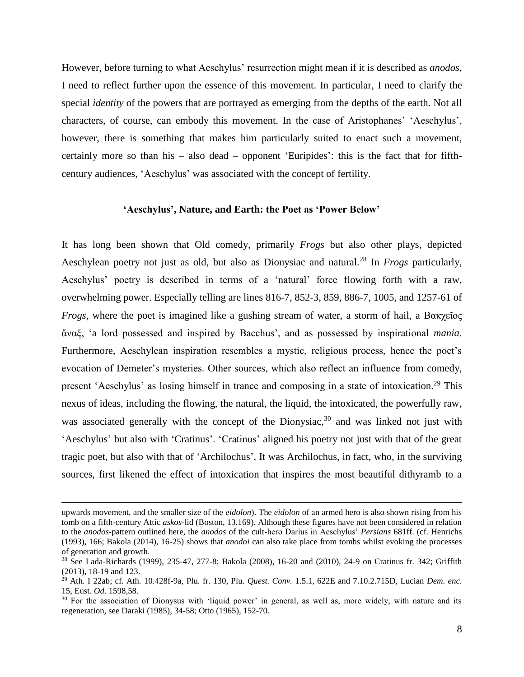However, before turning to what Aeschylus' resurrection might mean if it is described as *anodos*, I need to reflect further upon the essence of this movement. In particular, I need to clarify the special *identity* of the powers that are portrayed as emerging from the depths of the earth. Not all characters, of course, can embody this movement. In the case of Aristophanes' 'Aeschylus', however, there is something that makes him particularly suited to enact such a movement, certainly more so than his – also dead – opponent 'Euripides': this is the fact that for fifthcentury audiences, 'Aeschylus' was associated with the concept of fertility.

## **'Aeschylus', Nature, and Earth: the Poet as 'Power Below'**

It has long been shown that Old comedy, primarily *Frogs* but also other plays, depicted Aeschylean poetry not just as old, but also as Dionysiac and natural.<sup>28</sup> In *Frogs* particularly, Aeschylus' poetry is described in terms of a 'natural' force flowing forth with a raw, overwhelming power. Especially telling are lines 816-7, 852-3, 859, 886-7, 1005, and 1257-61 of *Frogs*, where the poet is imagined like a gushing stream of water, a storm of hail, a Βακχεῖος ἄναξ, 'a lord possessed and inspired by Bacchus', and as possessed by inspirational *mania*. Furthermore, Aeschylean inspiration resembles a mystic, religious process, hence the poet's evocation of Demeter's mysteries. Other sources, which also reflect an influence from comedy, present 'Aeschylus' as losing himself in trance and composing in a state of intoxication.<sup>29</sup> This nexus of ideas, including the flowing, the natural, the liquid, the intoxicated, the powerfully raw, was associated generally with the concept of the Dionysiac,  $30$  and was linked not just with 'Aeschylus' but also with 'Cratinus'. 'Cratinus' aligned his poetry not just with that of the great tragic poet, but also with that of 'Archilochus'. It was Archilochus, in fact, who, in the surviving sources, first likened the effect of intoxication that inspires the most beautiful dithyramb to a

upwards movement, and the smaller size of the *eidolon*). The *eidolon* of an armed hero is also shown rising from his tomb on a fifth-century Attic *askos*-lid (Boston, 13.169). Although these figures have not been considered in relation to the *anodos-*pattern outlined here, the *anodos* of the cult-hero Darius in Aeschylus' *Persians* 681ff. (cf. Henrichs (1993), 166; Bakola (2014), 16-25) shows that *anodoi* can also take place from tombs whilst evoking the processes of generation and growth.

<sup>&</sup>lt;sup>28</sup> See Lada-Richards (1999), 235-47, 277-8; Bakola (2008), 16-20 and (2010), 24-9 on Cratinus fr. 342; Griffith (2013), 18-19 and 123.

<sup>29</sup> Ath. I 22ab; cf. Ath. 10.428f-9a, Plu. fr. 130, Plu. *Quest. Conv.* 1.5.1, 622E and 7.10.2.715D, Lucian *Dem. enc.* 15, Eust. *Od*. 1598,58.

<sup>&</sup>lt;sup>30</sup> For the association of Dionysus with 'liquid power' in general, as well as, more widely, with nature and its regeneration, see Daraki (1985), 34-58; Otto (1965), 152-70.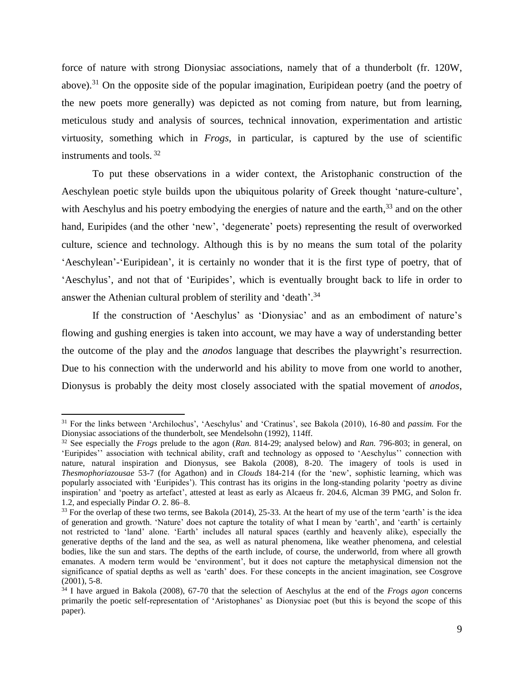force of nature with strong Dionysiac associations, namely that of a thunderbolt (fr. 120W, above).<sup>31</sup> On the opposite side of the popular imagination, Euripidean poetry (and the poetry of the new poets more generally) was depicted as not coming from nature, but from learning, meticulous study and analysis of sources, technical innovation, experimentation and artistic virtuosity, something which in *Frogs*, in particular, is captured by the use of scientific instruments and tools. <sup>32</sup>

To put these observations in a wider context, the Aristophanic construction of the Aeschylean poetic style builds upon the ubiquitous polarity of Greek thought 'nature-culture', with Aeschylus and his poetry embodying the energies of nature and the earth,<sup>33</sup> and on the other hand, Euripides (and the other 'new', 'degenerate' poets) representing the result of overworked culture, science and technology. Although this is by no means the sum total of the polarity 'Aeschylean'-'Euripidean', it is certainly no wonder that it is the first type of poetry, that of 'Aeschylus', and not that of 'Euripides', which is eventually brought back to life in order to answer the Athenian cultural problem of sterility and 'death'.<sup>34</sup>

If the construction of 'Aeschylus' as 'Dionysiac' and as an embodiment of nature's flowing and gushing energies is taken into account, we may have a way of understanding better the outcome of the play and the *anodos* language that describes the playwright's resurrection. Due to his connection with the underworld and his ability to move from one world to another, Dionysus is probably the deity most closely associated with the spatial movement of *anodos*,

<sup>31</sup> For the links between 'Archilochus', 'Aeschylus' and 'Cratinus', see Bakola (2010), 16-80 and *passim.* For the Dionysiac associations of the thunderbolt, see Mendelsohn (1992), 114ff.

<sup>32</sup> See especially the *Frogs* prelude to the agon (*Ran.* 814-29; analysed below) and *Ran.* 796-803; in general, on 'Euripides'' association with technical ability, craft and technology as opposed to 'Aeschylus'' connection with nature, natural inspiration and Dionysus, see Bakola (2008), 8-20. The imagery of tools is used in *Thesmophoriazousae* 53-7 (for Agathon) and in *Clouds* 184-214 (for the 'new', sophistic learning, which was popularly associated with 'Euripides'). This contrast has its origins in the long-standing polarity 'poetry as divine inspiration' and 'poetry as artefact', attested at least as early as Alcaeus fr. 204.6, Alcman 39 PMG, and Solon fr. 1.2, and especially Pindar *O*. 2. 86–8.

 $33$  For the overlap of these two terms, see Bakola (2014), 25-33. At the heart of my use of the term 'earth' is the idea of generation and growth. 'Nature' does not capture the totality of what I mean by 'earth', and 'earth' is certainly not restricted to 'land' alone. 'Earth' includes all natural spaces (earthly and heavenly alike), especially the generative depths of the land and the sea, as well as natural phenomena, like weather phenomena, and celestial bodies, like the sun and stars. The depths of the earth include, of course, the underworld, from where all growth emanates. A modern term would be 'environment', but it does not capture the metaphysical dimension not the significance of spatial depths as well as 'earth' does. For these concepts in the ancient imagination, see Cosgrove (2001), 5-8.

<sup>34</sup> I have argued in Bakola (2008), 67-70 that the selection of Aeschylus at the end of the *Frogs agon* concerns primarily the poetic self-representation of 'Aristophanes' as Dionysiac poet (but this is beyond the scope of this paper).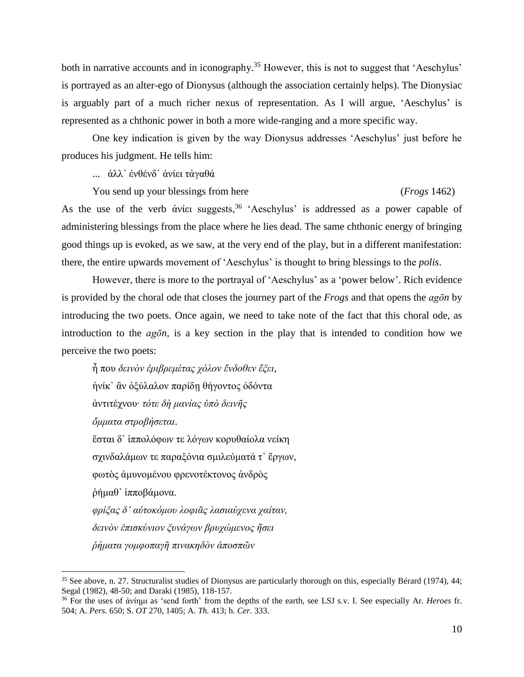both in narrative accounts and in iconography.<sup>35</sup> However, this is not to suggest that 'Aeschylus' is portrayed as an alter-ego of Dionysus (although the association certainly helps). The Dionysiac is arguably part of a much richer nexus of representation. As I will argue, 'Aeschylus' is represented as a chthonic power in both a more wide-ranging and a more specific way.

One key indication is given by the way Dionysus addresses 'Aeschylus' just before he produces his judgment. He tells him:

... ἀλλ᾽ ἐνθένδ᾽ ἀνίει τἀγαθά

You send up your blessings from here (*Frogs* 1462)

As the use of the verb άνίει suggests,  $36$  'Aeschylus' is addressed as a power capable of administering blessings from the place where he lies dead. The same chthonic energy of bringing good things up is evoked, as we saw, at the very end of the play, but in a different manifestation: there, the entire upwards movement of 'Aeschylus' is thought to bring blessings to the *polis*.

However, there is more to the portrayal of 'Aeschylus' as a 'power below'. Rich evidence is provided by the choral ode that closes the journey part of the *Frogs* and that opens the *agōn* by introducing the two poets. Once again, we need to take note of the fact that this choral ode, as introduction to the *agōn,* is a key section in the play that is intended to condition how we perceive the two poets:

ἦ που *δεινὸν ἐριβρεμέτας χόλον ἔνδοθεν ἕξει*, ἡνίκ᾽ ἂν ὀξύλαλον παρίδῃ θήγοντος ὀδόντα ἀντιτέχνου∙ *τότε δὴ μανίας ὑπὸ δεινῆς ὄμματα στροβήσεται*. ἔσται δ᾽ ἱππολόφων τε λόγων κορυθαίολα νείκη σχινδαλάμων τε παραξόνια σμιλεύματά τ᾽ ἔργων, φωτὸς ἀμυνομένου φρενοτέκτονος ἀνδρὸς ῥήμαθ᾽ ἱπποβάμονα. *φρίξας δ᾽ αὐτοκόμου λοφιᾶς λασιαύχενα χαίταν, δεινὸν ἐπισκύνιον ξυνάγων βρυχώμενος ἥσει ῥήματα γομφοπαγῆ πινακηδὸν ἀποσπῶν* 

 $35$  See above, n. 27. Structuralist studies of Dionysus are particularly thorough on this, especially Bérard (1974), 44; Segal (1982), 48-50; and Daraki (1985), 118-157.

<sup>36</sup> For the uses of ἀνίημι as 'send forth' from the depths of the earth, see LSJ s.v. I. See especially Ar. *Heroes* fr. 504; A. *Pers.* 650; S. *OT* 270, 1405; A. *Th.* 413; h. *Cer.* 333.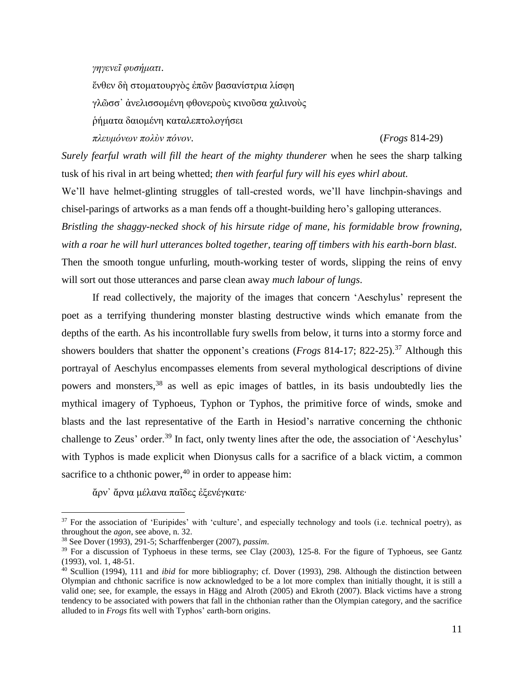*γηγενεῖ φυσήματι*.

ἔνθεν δὴ στοματουργὸς ἐπῶν βασανίστρια λίσφη γλῶσσ᾽ ἀνελισσομένη φθονεροὺς κινοῦσα χαλινοὺς ῥήματα δαιομένη καταλεπτολογήσει *πλευμόνων πολὺν πόνον*. (*Frogs* 814-29)

*Surely fearful wrath will fill the heart of the mighty thunderer* when he sees the sharp talking tusk of his rival in art being whetted; *then with fearful fury will his eyes whirl about.*

We'll have helmet-glinting struggles of tall-crested words, we'll have linchpin-shavings and chisel-parings of artworks as a man fends off a thought-building hero's galloping utterances.

*Bristling the shaggy-necked shock of his hirsute ridge of mane, his formidable brow frowning, with a roar he will hurl utterances bolted together, tearing off timbers with his earth-born blast*. Then the smooth tongue unfurling, mouth-working tester of words, slipping the reins of envy will sort out those utterances and parse clean away *much labour of lungs*.

If read collectively, the majority of the images that concern 'Aeschylus' represent the poet as a terrifying thundering monster blasting destructive winds which emanate from the depths of the earth. As his incontrollable fury swells from below, it turns into a stormy force and showers boulders that shatter the opponent's creations (*Frogs* 814-17; 822-25). <sup>37</sup> Although this portrayal of Aeschylus encompasses elements from several mythological descriptions of divine powers and monsters,<sup>38</sup> as well as epic images of battles, in its basis undoubtedly lies the mythical imagery of Typhoeus, Typhon or Typhos, the primitive force of winds, smoke and blasts and the last representative of the Earth in Hesiod's narrative concerning the chthonic challenge to Zeus' order.<sup>39</sup> In fact, only twenty lines after the ode, the association of 'Aeschylus' with Typhos is made explicit when Dionysus calls for a sacrifice of a black victim, a common sacrifice to a chthonic power,  $40$  in order to appease him:

ἄρν᾽ ἄρνα μέλανα παῖδες ἐξενέγκατε∙

 $37$  For the association of 'Euripides' with 'culture', and especially technology and tools (i.e. technical poetry), as throughout the *agon*, see above, n. 32.

<sup>38</sup> See Dover (1993), 291-5; Scharffenberger (2007), *passim*.

<sup>&</sup>lt;sup>39</sup> For a discussion of Typhoeus in these terms, see Clay (2003), 125-8. For the figure of Typhoeus, see Gantz (1993), vol. 1, 48-51.

<sup>40</sup> Scullion (1994), 111 and *ibid* for more bibliography; cf. Dover (1993), 298. Although the distinction between Olympian and chthonic sacrifice is now acknowledged to be a lot more complex than initially thought, it is still a valid one; see, for example, the essays in Hägg and Alroth (2005) and Ekroth (2007). Black victims have a strong tendency to be associated with powers that fall in the chthonian rather than the Olympian category, and the sacrifice alluded to in *Frogs* fits well with Typhos' earth-born origins.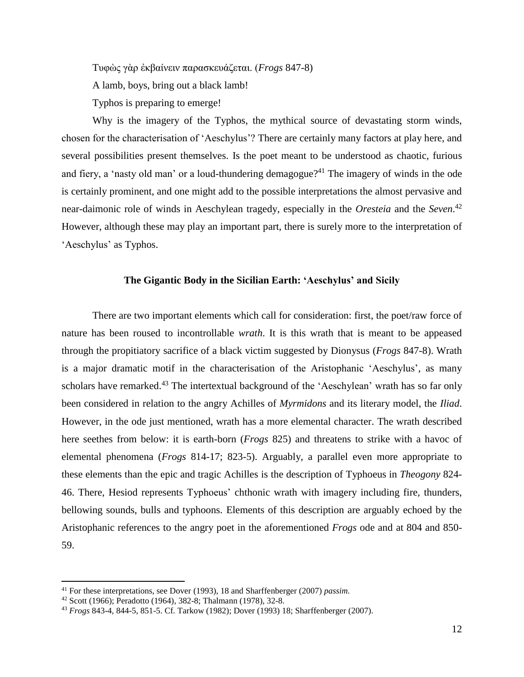Tυφὼς γὰρ ἐκβαίνειν παρασκευάζεται. (*Frogs* 847-8)

A lamb, boys, bring out a black lamb!

Typhos is preparing to emerge!

Why is the imagery of the Typhos, the mythical source of devastating storm winds, chosen for the characterisation of 'Aeschylus'? There are certainly many factors at play here, and several possibilities present themselves. Is the poet meant to be understood as chaotic, furious and fiery, a 'nasty old man' or a loud-thundering demagogue?<sup>41</sup> The imagery of winds in the ode is certainly prominent, and one might add to the possible interpretations the almost pervasive and near-daimonic role of winds in Aeschylean tragedy, especially in the *Oresteia* and the *Seven*. 42 However, although these may play an important part, there is surely more to the interpretation of 'Aeschylus' as Typhos.

## **The Gigantic Body in the Sicilian Earth: 'Aeschylus' and Sicily**

There are two important elements which call for consideration: first, the poet/raw force of nature has been roused to incontrollable *wrath*. It is this wrath that is meant to be appeased through the propitiatory sacrifice of a black victim suggested by Dionysus (*Frogs* 847-8). Wrath is a major dramatic motif in the characterisation of the Aristophanic 'Aeschylus', as many scholars have remarked.<sup>43</sup> The intertextual background of the 'Aeschylean' wrath has so far only been considered in relation to the angry Achilles of *Myrmidons* and its literary model, the *Iliad*. However, in the ode just mentioned, wrath has a more elemental character. The wrath described here seethes from below: it is earth-born (*Frogs* 825) and threatens to strike with a havoc of elemental phenomena (*Frogs* 814-17; 823-5). Arguably, a parallel even more appropriate to these elements than the epic and tragic Achilles is the description of Typhoeus in *Theogony* 824- 46. There, Hesiod represents Typhoeus' chthonic wrath with imagery including fire, thunders, bellowing sounds, bulls and typhoons. Elements of this description are arguably echoed by the Aristophanic references to the angry poet in the aforementioned *Frogs* ode and at 804 and 850- 59.

<sup>41</sup> For these interpretations, see Dover (1993), 18 and Sharffenberger (2007) *passim.*

<sup>42</sup> Scott (1966); Peradotto (1964), 382-8; Thalmann (1978), 32-8.

<sup>43</sup> *Frogs* 843-4, 844-5, 851-5. Cf. Tarkow (1982); Dover (1993) 18; Sharffenberger (2007).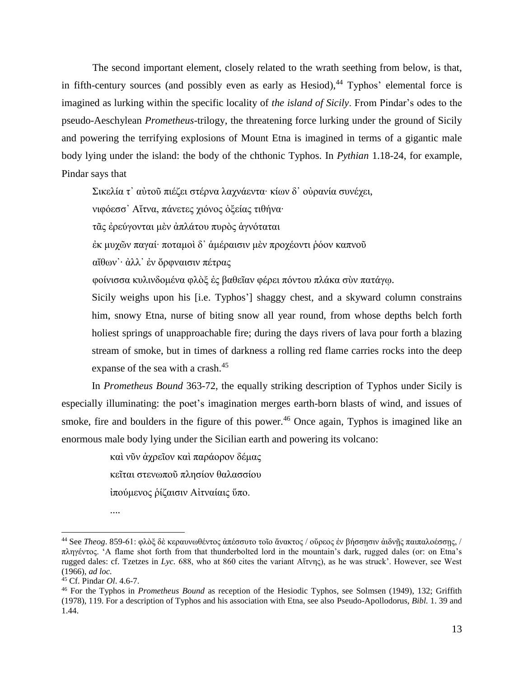The second important element, closely related to the wrath seething from below, is that, in fifth-century sources (and possibly even as early as Hesiod),  $44$  Typhos' elemental force is imagined as lurking within the specific locality of *the island of Sicily*. From Pindar's odes to the pseudo-Aeschylean *Prometheus*-trilogy, the threatening force lurking under the ground of Sicily and powering the terrifying explosions of Mount Etna is imagined in terms of a gigantic male body lying under the island: the body of the chthonic Typhos. In *Pythian* 1.18-24, for example, Pindar says that

Σικελία τ᾽ αὐτοῦ πιέζει στέρνα λαχνάεντα∙ κίων δ᾽ οὐρανία συνέχει,

νιφόεσσ᾽ Αἴτνα, πάνετες χιόνος ὀξείας τιθήνα∙

τᾶς ἐρεύγονται μὲν ἀπλάτου πυρὸς ἁγνόταται

ἐκ μυχῶν παγαί∙ ποταμοὶ δ᾽ ἁμέραισιν μὲν προχέοντι ῥόον καπνοῦ

αἴθων᾽∙ ἀλλ᾽ ἐν ὄρφναισιν πέτρας

φοίνισσα κυλινδομένα φλὸξ ἐς βαθεῖαν φέρει πόντου πλάκα σὺν πατάγῳ.

Sicily weighs upon his [i.e. Typhos'] shaggy chest, and a skyward column constrains him, snowy Etna, nurse of biting snow all year round, from whose depths belch forth holiest springs of unapproachable fire; during the days rivers of lava pour forth a blazing stream of smoke, but in times of darkness a rolling red flame carries rocks into the deep expanse of the sea with a crash.<sup>45</sup>

In *Prometheus Bound* 363-72, the equally striking description of Typhos under Sicily is especially illuminating: the poet's imagination merges earth-born blasts of wind, and issues of smoke, fire and boulders in the figure of this power.<sup>46</sup> Once again, Typhos is imagined like an enormous male body lying under the Sicilian earth and powering its volcano:

> καὶ νῦν ἀχρεῖον καὶ παράορον δέμας κεῖται στενωποῦ πλησίον θαλασσίου ἰπούμενος ῥίζαισιν Αἰτναίαις ὕπο.

<sup>....</sup>

<sup>44</sup> See *Theog*. 859-61: φλὸξ δὲ κεραυνωθέντος ἀπέσσυτο τοῖο ἄνακτος / οὔρεος ἐν βήσσῃσιν ἀιδνῇς παιπαλοέσσῃς, / πληγέντος. 'A flame shot forth from that thunderbolted lord in the mountain's dark, rugged dales (or: on Etna's rugged dales: cf. Tzetzes in *Lyc.* 688, who at 860 cites the variant Aἴτνης), as he was struck'. However, see West (1966), *ad loc.*

<sup>45</sup> Cf. Pindar *Ol*. 4.6-7.

<sup>46</sup> For the Typhos in *Prometheus Bound* as reception of the Hesiodic Typhos, see Solmsen (1949), 132; Griffith (1978), 119. For a description of Typhos and his association with Etna, see also Pseudo-Apollodorus, *Bibl.* 1. 39 and 1.44.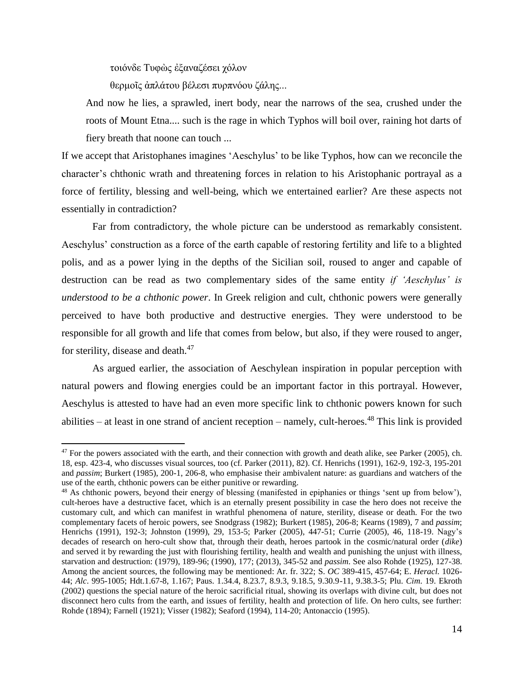τοιόνδε Τυφὼς ἐξαναζέσει χόλον

 $\overline{\phantom{a}}$ 

θερμοῖς ἀπλάτου βέλεσι πυρπνόου ζάλης...

And now he lies, a sprawled, inert body, near the narrows of the sea, crushed under the roots of Mount Etna.... such is the rage in which Typhos will boil over, raining hot darts of fiery breath that noone can touch ...

If we accept that Aristophanes imagines 'Aeschylus' to be like Typhos, how can we reconcile the character's chthonic wrath and threatening forces in relation to his Aristophanic portrayal as a force of fertility, blessing and well-being, which we entertained earlier? Are these aspects not essentially in contradiction?

Far from contradictory, the whole picture can be understood as remarkably consistent. Aeschylus' construction as a force of the earth capable of restoring fertility and life to a blighted polis, and as a power lying in the depths of the Sicilian soil, roused to anger and capable of destruction can be read as two complementary sides of the same entity *if 'Aeschylus' is understood to be a chthonic power*. In Greek religion and cult, chthonic powers were generally perceived to have both productive and destructive energies. They were understood to be responsible for all growth and life that comes from below, but also, if they were roused to anger, for sterility, disease and death.<sup>47</sup>

As argued earlier, the association of Aeschylean inspiration in popular perception with natural powers and flowing energies could be an important factor in this portrayal. However, Aeschylus is attested to have had an even more specific link to chthonic powers known for such abilities – at least in one strand of ancient reception – namely, cult-heroes. <sup>48</sup> This link is provided

 $47$  For the powers associated with the earth, and their connection with growth and death alike, see Parker (2005), ch. 18, esp. 423-4, who discusses visual sources, too (cf. Parker (2011), 82). Cf. Henrichs (1991), 162-9, 192-3, 195-201 and *passim*; Burkert (1985), 200-1, 206-8, who emphasise their ambivalent nature: as guardians and watchers of the use of the earth, chthonic powers can be either punitive or rewarding.

<sup>48</sup> As chthonic powers, beyond their energy of blessing (manifested in epiphanies or things 'sent up from below'), cult-heroes have a destructive facet, which is an eternally present possibility in case the hero does not receive the customary cult, and which can manifest in wrathful phenomena of nature, sterility, disease or death. For the two complementary facets of heroic powers, see Snodgrass (1982); Burkert (1985), 206-8; Kearns (1989), 7 and *passim*; Henrichs (1991), 192-3; Johnston (1999), 29, 153-5; Parker (2005), 447-51; Currie (2005), 46, 118-19. Nagy's decades of research on hero-cult show that, through their death, heroes partook in the cosmic/natural order (*dike*) and served it by rewarding the just with flourishing fertility, health and wealth and punishing the unjust with illness, starvation and destruction: (1979), 189-96; (1990), 177; (2013), 345-52 and *passim*. See also Rohde (1925), 127-38. Among the ancient sources, the following may be mentioned: Ar. fr. 322; S. *OC* 389-415, 457-64; E. *Heracl.* 1026- 44; *Alc*. 995-1005; Hdt.1.67-8, 1.167; Paus. 1.34.4, 8.23.7, 8.9.3, 9.18.5, 9.30.9-11, 9.38.3-5; Plu. *Cim*. 19. Ekroth (2002) questions the special nature of the heroic sacrificial ritual, showing its overlaps with divine cult, but does not disconnect hero cults from the earth, and issues of fertility, health and protection of life. On hero cults, see further: Rohde (1894); Farnell (1921); Visser (1982); Seaford (1994), 114-20; Antonaccio (1995).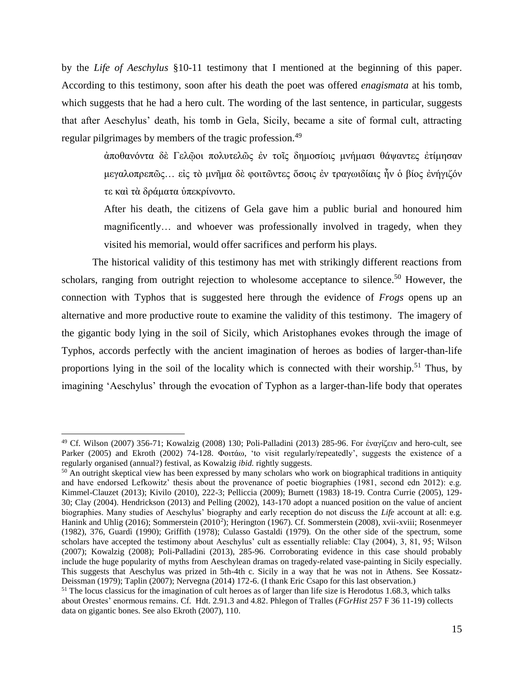by the *Life of Aeschylus* §10-11 testimony that I mentioned at the beginning of this paper. According to this testimony, soon after his death the poet was offered *enagismata* at his tomb, which suggests that he had a hero cult. The wording of the last sentence, in particular, suggests that after Aeschylus' death, his tomb in Gela, Sicily, became a site of formal cult, attracting regular pilgrimages by members of the tragic profession.<sup>49</sup>

> ἀποθανόντα δὲ Γελῷοι πολυτελῶς ἐν τοῖς δημοσίοις μνήμασι θάψαντες ἐτίμησαν μεγαλοπρεπῶς… εἰς τὸ μνῆμα δὲ φοιτῶντες ὅσοις ἐν τραγωιδίαις ἦν ὁ βίος ἐνήγιζόν τε καὶ τὰ δράματα ὑπεκρίνοντο.

> After his death, the citizens of Gela gave him a public burial and honoured him magnificently… and whoever was professionally involved in tragedy, when they visited his memorial, would offer sacrifices and perform his plays.

The historical validity of this testimony has met with strikingly different reactions from scholars, ranging from outright rejection to wholesome acceptance to silence.<sup>50</sup> However, the connection with Typhos that is suggested here through the evidence of *Frogs* opens up an alternative and more productive route to examine the validity of this testimony. The imagery of the gigantic body lying in the soil of Sicily, which Aristophanes evokes through the image of Typhos, accords perfectly with the ancient imagination of heroes as bodies of larger-than-life proportions lying in the soil of the locality which is connected with their worship.<sup>51</sup> Thus, by imagining 'Aeschylus' through the evocation of Typhon as a larger-than-life body that operates

<sup>49</sup> Cf. Wilson (2007) 356-71; Kowalzig (2008) 130; Poli-Palladini (2013) 285-96. For ἐναγίζειν and hero-cult, see Parker (2005) and Ekroth (2002) 74-128. Φοιτάω, 'to visit regularly/repeatedly', suggests the existence of a regularly organised (annual?) festival, as Kowalzig *ibid.* rightly suggests.

<sup>&</sup>lt;sup>50</sup> An outright skeptical view has been expressed by many scholars who work on biographical traditions in antiquity and have endorsed Lefkowitz' thesis about the provenance of poetic biographies (1981, second edn 2012): e.g. Kimmel-Clauzet (2013); Kivilo (2010), 222-3; Pelliccia (2009); Burnett (1983) 18-19. Contra Currie (2005), 129- 30; Clay (2004). Hendrickson (2013) and Pelling (2002), 143-170 adopt a nuanced position on the value of ancient biographies. Many studies of Aeschylus' biography and early reception do not discuss the *Life* account at all: e.g. Hanink and Uhlig (2016); Sommerstein (2010<sup>2</sup>); Herington (1967). Cf. Sommerstein (2008), xvii-xviii; Rosenmeyer (1982), 376, Guardì (1990); Griffith (1978); Culasso Gastaldi (1979). On the other side of the spectrum, some scholars have accepted the testimony about Aeschylus' cult as essentially reliable: Clay (2004), 3, 81, 95; Wilson (2007); Kowalzig (2008); Poli-Palladini (2013), 285-96. Corroborating evidence in this case should probably include the huge popularity of myths from Aeschylean dramas on tragedy-related vase-painting in Sicily especially. This suggests that Aeschylus was prized in 5th-4th c. Sicily in a way that he was not in Athens. See Kossatz-Deissman (1979); Taplin (2007); Nervegna (2014) 172-6. (I thank Eric Csapo for this last observation.)

 $51$  The locus classicus for the imagination of cult heroes as of larger than life size is Herodotus 1.68.3, which talks about Orestes' enormous remains. Cf. Hdt. 2.91.3 and 4.82. Phlegon of Tralles (*FGrHist* 257 F 36 11-19) collects data on gigantic bones. See also Ekroth (2007), 110.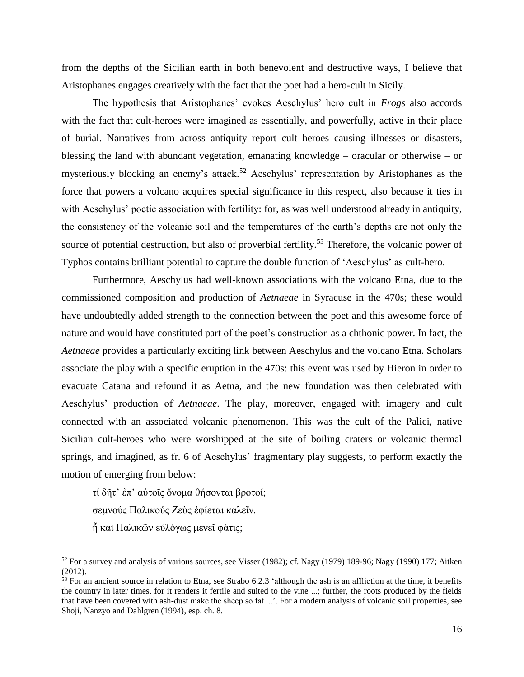from the depths of the Sicilian earth in both benevolent and destructive ways, I believe that Aristophanes engages creatively with the fact that the poet had a hero-cult in Sicily.

The hypothesis that Aristophanes' evokes Aeschylus' hero cult in *Frogs* also accords with the fact that cult-heroes were imagined as essentially, and powerfully, active in their place of burial. Narratives from across antiquity report cult heroes causing illnesses or disasters, blessing the land with abundant vegetation, emanating knowledge – oracular or otherwise – or mysteriously blocking an enemy's attack. <sup>52</sup> Aeschylus' representation by Aristophanes as the force that powers a volcano acquires special significance in this respect, also because it ties in with Aeschylus' poetic association with fertility: for, as was well understood already in antiquity, the consistency of the volcanic soil and the temperatures of the earth's depths are not only the source of potential destruction, but also of proverbial fertility.<sup>53</sup> Therefore, the volcanic power of Typhos contains brilliant potential to capture the double function of 'Aeschylus' as cult-hero.

Furthermore, Aeschylus had well-known associations with the volcano Etna, due to the commissioned composition and production of *Aetnaeae* in Syracuse in the 470s; these would have undoubtedly added strength to the connection between the poet and this awesome force of nature and would have constituted part of the poet's construction as a chthonic power. In fact, the *Aetnaeae* provides a particularly exciting link between Aeschylus and the volcano Etna. Scholars associate the play with a specific eruption in the 470s: this event was used by Hieron in order to evacuate Catana and refound it as Aetna*,* and the new foundation was then celebrated with Aeschylus' production of *Aetnaeae*. The play, moreover, engaged with imagery and cult connected with an associated volcanic phenomenon. This was the cult of the Palici, native Sicilian cult-heroes who were worshipped at the site of boiling craters or volcanic thermal springs, and imagined, as fr. 6 of Aeschylus' fragmentary play suggests, to perform exactly the motion of emerging from below:

τί δῆτ' ἐπ' αὐτοῖς ὄνομα θήσονται βροτοί;

σεμνούς Παλικούς Ζεὺς ἐφίεται καλεῖν.

ἦ καὶ Παλικῶν εὐλόγως μενεῖ φάτις;

l

 $52$  For a survey and analysis of various sources, see Visser (1982); cf. Nagy (1979) 189-96; Nagy (1990) 177; Aitken  $(2012)$ .

 $53$  For an ancient source in relation to Etna, see Strabo 6.2.3 'although the ash is an affliction at the time, it benefits the country in later times, for it renders it fertile and suited to the vine ...; further, the roots produced by the fields that have been covered with ash-dust make the sheep so fat ...'. For a modern analysis of volcanic soil properties, see Shoji, Nanzyo and Dahlgren (1994), esp. ch. 8.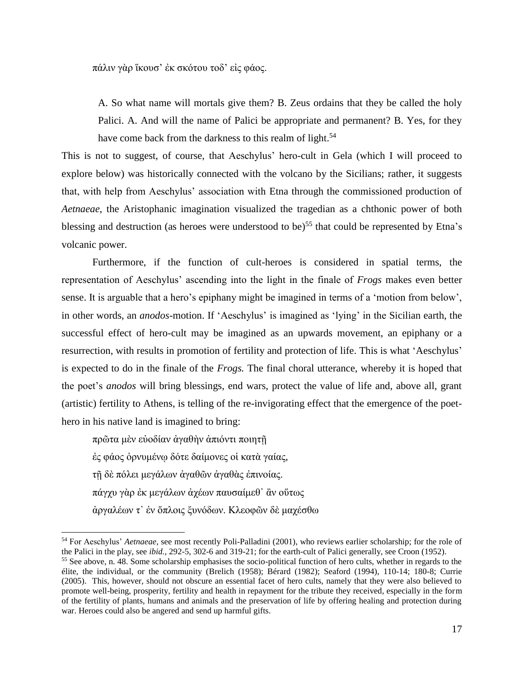πάλιν γὰρ ἵκουσ' ἐκ σκότου τοδ' εἰς φάος.

A. So what name will mortals give them? B. Zeus ordains that they be called the holy Palici. A. And will the name of Palici be appropriate and permanent? B. Yes, for they have come back from the darkness to this realm of light.<sup>54</sup>

This is not to suggest, of course, that Aeschylus' hero-cult in Gela (which I will proceed to explore below) was historically connected with the volcano by the Sicilians; rather, it suggests that, with help from Aeschylus' association with Etna through the commissioned production of *Aetnaeae*, the Aristophanic imagination visualized the tragedian as a chthonic power of both blessing and destruction (as heroes were understood to be)<sup>55</sup> that could be represented by Etna's volcanic power.

Furthermore, if the function of cult-heroes is considered in spatial terms, the representation of Aeschylus' ascending into the light in the finale of *Frogs* makes even better sense. It is arguable that a hero's epiphany might be imagined in terms of a 'motion from below', in other words, an *anodos*-motion. If 'Aeschylus' is imagined as 'lying' in the Sicilian earth, the successful effect of hero-cult may be imagined as an upwards movement, an epiphany or a resurrection, with results in promotion of fertility and protection of life. This is what 'Aeschylus' is expected to do in the finale of the *Frogs.* The final choral utterance, whereby it is hoped that the poet's *anodos* will bring blessings, end wars, protect the value of life and, above all, grant (artistic) fertility to Athens, is telling of the re-invigorating effect that the emergence of the poethero in his native land is imagined to bring:

πρῶτα μὲν εὐοδίαν ἀγαθὴν ἀπιόντι ποιητῇ ἐς φάος ὀρνυμένῳ δότε δαίμονες οἱ κατὰ γαίας, τῇ δὲ πόλει μεγάλων ἀγαθῶν ἀγαθὰς ἐπινοίας. πάγχυ γὰρ ἐκ μεγάλων ἀχέων παυσαίμεθ᾽ ἂν οὕτως ἀργαλέων τ᾽ ἐν ὅπλοις ξυνόδων. Κλεοφῶν δὲ μαχέσθω

<sup>54</sup> For Aeschylus' *Aetnaeae,* see most recently Poli-Palladini (2001), who reviews earlier scholarship; for the role of the Palici in the play, see *ibid.,* 292-5, 302-6 and 319-21; for the earth-cult of Palici generally, see Croon (1952).

<sup>55</sup> See above, n. 48. Some scholarship emphasises the socio-political function of hero cults, whether in regards to the élite, the individual, or the community (Brelich (1958); Bérard (1982); Seaford (1994), 110-14; 180-8; Currie (2005). This, however, should not obscure an essential facet of hero cults, namely that they were also believed to promote well-being, prosperity, fertility and health in repayment for the tribute they received, especially in the form of the fertility of plants, humans and animals and the preservation of life by offering healing and protection during war. Heroes could also be angered and send up harmful gifts.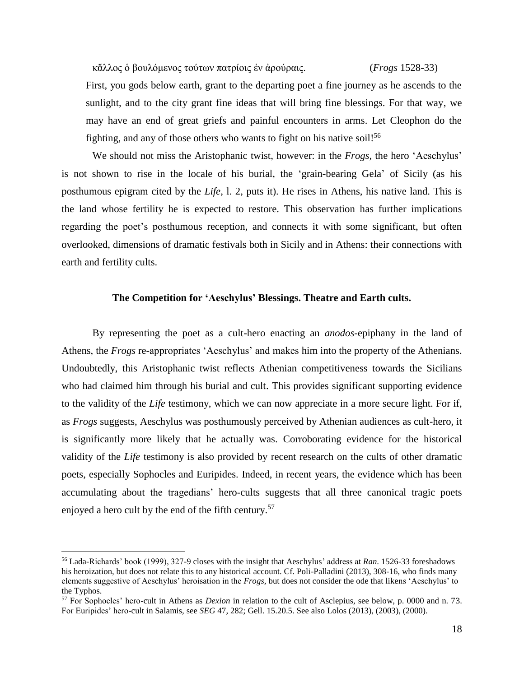κἄλλος ὁ βουλόμενος τούτων πατρίοις ἐν ἀρούραις. (*Frogs* 1528-33)

First, you gods below earth, grant to the departing poet a fine journey as he ascends to the sunlight, and to the city grant fine ideas that will bring fine blessings. For that way, we may have an end of great griefs and painful encounters in arms. Let Cleophon do the fighting, and any of those others who wants to fight on his native soil!<sup>56</sup>

We should not miss the Aristophanic twist, however: in the *Frogs,* the hero 'Aeschylus' is not shown to rise in the locale of his burial, the 'grain-bearing Gela' of Sicily (as his posthumous epigram cited by the *Life*, l. 2, puts it). He rises in Athens, his native land. This is the land whose fertility he is expected to restore. This observation has further implications regarding the poet's posthumous reception, and connects it with some significant, but often overlooked, dimensions of dramatic festivals both in Sicily and in Athens: their connections with earth and fertility cults.

## **The Competition for 'Aeschylus' Blessings. Theatre and Earth cults.**

By representing the poet as a cult-hero enacting an *anodos*-epiphany in the land of Athens, the *Frogs* re-appropriates 'Aeschylus' and makes him into the property of the Athenians. Undoubtedly, this Aristophanic twist reflects Athenian competitiveness towards the Sicilians who had claimed him through his burial and cult. This provides significant supporting evidence to the validity of the *Life* testimony, which we can now appreciate in a more secure light. For if, as *Frogs* suggests, Aeschylus was posthumously perceived by Athenian audiences as cult-hero, it is significantly more likely that he actually was. Corroborating evidence for the historical validity of the *Life* testimony is also provided by recent research on the cults of other dramatic poets, especially Sophocles and Euripides. Indeed, in recent years, the evidence which has been accumulating about the tragedians' hero-cults suggests that all three canonical tragic poets enjoyed a hero cult by the end of the fifth century.<sup>57</sup>

l

<sup>56</sup> Lada-Richards' book (1999), 327-9 closes with the insight that Aeschylus' address at *Ran*. 1526-33 foreshadows his heroization, but does not relate this to any historical account. Cf. Poli-Palladini (2013), 308-16, who finds many elements suggestive of Aeschylus' heroisation in the *Frogs*, but does not consider the ode that likens 'Aeschylus' to the Typhos.

<sup>57</sup> For Sophocles' hero-cult in Athens as *Dexion* in relation to the cult of Asclepius, see below, p. 0000 and n. 73. For Euripides' hero-cult in Salamis, see *SEG* 47, 282; Gell. 15.20.5. See also Lolos (2013), (2003), (2000).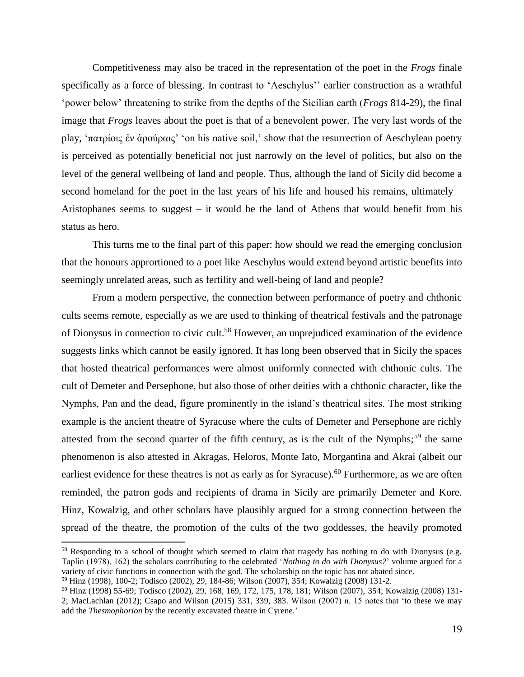Competitiveness may also be traced in the representation of the poet in the *Frogs* finale specifically as a force of blessing. In contrast to 'Aeschylus'' earlier construction as a wrathful 'power below' threatening to strike from the depths of the Sicilian earth (*Frogs* 814-29), the final image that *Frogs* leaves about the poet is that of a benevolent power. The very last words of the play, 'πατρίοις ἐν ἀρούραις' 'on his native soil,' show that the resurrection of Aeschylean poetry is perceived as potentially beneficial not just narrowly on the level of politics, but also on the level of the general wellbeing of land and people. Thus, although the land of Sicily did become a second homeland for the poet in the last years of his life and housed his remains, ultimately – Aristophanes seems to suggest – it would be the land of Athens that would benefit from his status as hero.

This turns me to the final part of this paper: how should we read the emerging conclusion that the honours apprortioned to a poet like Aeschylus would extend beyond artistic benefits into seemingly unrelated areas, such as fertility and well-being of land and people?

From a modern perspective, the connection between performance of poetry and chthonic cults seems remote, especially as we are used to thinking of theatrical festivals and the patronage of Dionysus in connection to civic cult.<sup>58</sup> However, an unprejudiced examination of the evidence suggests links which cannot be easily ignored. It has long been observed that in Sicily the spaces that hosted theatrical performances were almost uniformly connected with chthonic cults. The cult of Demeter and Persephone, but also those of other deities with a chthonic character, like the Nymphs, Pan and the dead, figure prominently in the island's theatrical sites. The most striking example is the ancient theatre of Syracuse where the cults of Demeter and Persephone are richly attested from the second quarter of the fifth century, as is the cult of the Nymphs;<sup>59</sup> the same phenomenon is also attested in Akragas, Heloros, Monte Iato, Morgantina and Akrai (albeit our earliest evidence for these theatres is not as early as for Syracuse).<sup>60</sup> Furthermore, as we are often reminded, the patron gods and recipients of drama in Sicily are primarily Demeter and Kore. Hinz, Kowalzig, and other scholars have plausibly argued for a strong connection between the spread of the theatre, the promotion of the cults of the two goddesses, the heavily promoted

<sup>&</sup>lt;sup>58</sup> Responding to a school of thought which seemed to claim that tragedy has nothing to do with Dionysus (e.g. Taplin (1978), 162) the scholars contributing to the celebrated '*Nothing to do with Dionysus?*' volume argued for a variety of civic functions in connection with the god. The scholarship on the topic has not abated since.

<sup>59</sup> Hinz (1998), 100-2; Todisco (2002), 29, 184-86; Wilson (2007), 354; Kowalzig (2008) 131-2.

<sup>60</sup> Hinz (1998) 55-69; Todisco (2002), 29, 168, 169, 172, 175, 178, 181; Wilson (2007), 354; Kowalzig (2008) 131- 2; MacLachlan (2012); Csapo and Wilson (2015) 331, 339, 383. Wilson (2007) n. 15 notes that 'to these we may add the *Thesmophorion* by the recently excavated theatre in Cyrene.'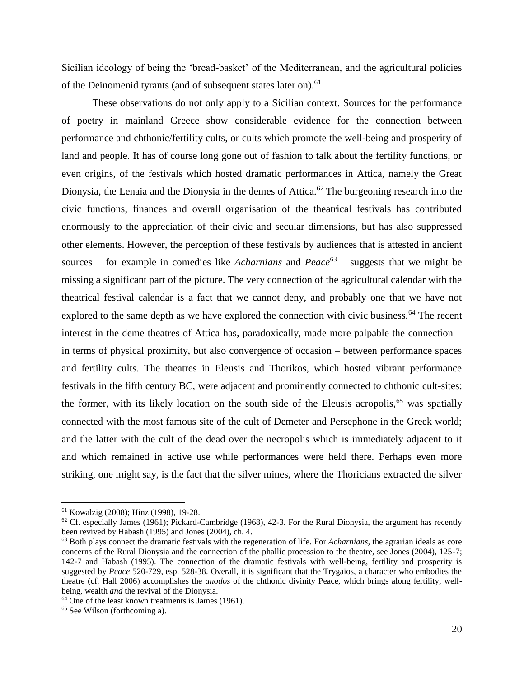Sicilian ideology of being the 'bread-basket' of the Mediterranean, and the agricultural policies of the Deinomenid tyrants (and of subsequent states later on).<sup>61</sup>

These observations do not only apply to a Sicilian context. Sources for the performance of poetry in mainland Greece show considerable evidence for the connection between performance and chthonic/fertility cults, or cults which promote the well-being and prosperity of land and people. It has of course long gone out of fashion to talk about the fertility functions, or even origins, of the festivals which hosted dramatic performances in Attica, namely the Great Dionysia, the Lenaia and the Dionysia in the demes of Attica.<sup>62</sup> The burgeoning research into the civic functions, finances and overall organisation of the theatrical festivals has contributed enormously to the appreciation of their civic and secular dimensions, but has also suppressed other elements. However, the perception of these festivals by audiences that is attested in ancient sources – for example in comedies like *Acharnians* and  $Peace^{63}$  – suggests that we might be missing a significant part of the picture. The very connection of the agricultural calendar with the theatrical festival calendar is a fact that we cannot deny, and probably one that we have not explored to the same depth as we have explored the connection with civic business.<sup>64</sup> The recent interest in the deme theatres of Attica has, paradoxically, made more palpable the connection – in terms of physical proximity, but also convergence of occasion – between performance spaces and fertility cults. The theatres in Eleusis and Thorikos, which hosted vibrant performance festivals in the fifth century BC, were adjacent and prominently connected to chthonic cult-sites: the former, with its likely location on the south side of the Eleusis acropolis,<sup>65</sup> was spatially connected with the most famous site of the cult of Demeter and Persephone in the Greek world; and the latter with the cult of the dead over the necropolis which is immediately adjacent to it and which remained in active use while performances were held there. Perhaps even more striking, one might say, is the fact that the silver mines, where the Thoricians extracted the silver

<sup>61</sup> Kowalzig (2008); Hinz (1998), 19-28.

 $62$  Cf. especially James (1961); Pickard-Cambridge (1968), 42-3. For the Rural Dionysia, the argument has recently been revived by Habash (1995) and Jones (2004), ch. 4.

<sup>63</sup> Both plays connect the dramatic festivals with the regeneration of life. For *Acharnians,* the agrarian ideals as core concerns of the Rural Dionysia and the connection of the phallic procession to the theatre, see Jones (2004), 125-7; 142-7 and Habash (1995). The connection of the dramatic festivals with well-being, fertility and prosperity is suggested by *Peace* 520-729, esp. 528-38. Overall, it is significant that the Trygaios, a character who embodies the theatre (cf. Hall 2006) accomplishes the *anodos* of the chthonic divinity Peace, which brings along fertility, wellbeing, wealth *and* the revival of the Dionysia.

<sup>&</sup>lt;sup>64</sup> One of the least known treatments is James (1961).

<sup>65</sup> See Wilson (forthcoming a).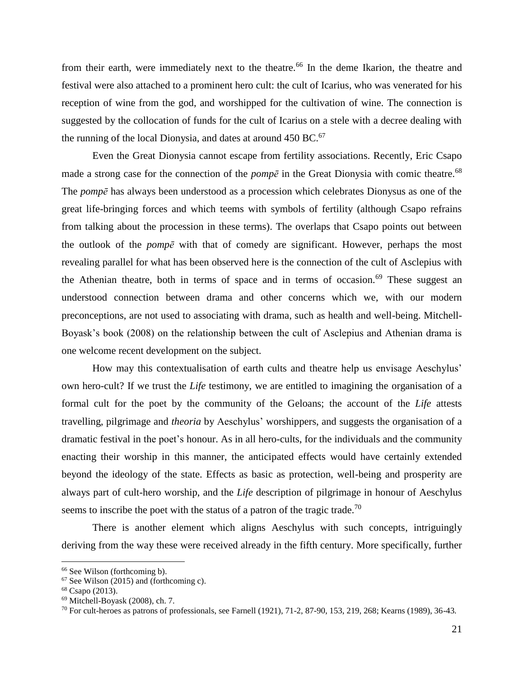from their earth, were immediately next to the theatre.<sup>66</sup> In the deme Ikarion, the theatre and festival were also attached to a prominent hero cult: the cult of Icarius, who was venerated for his reception of wine from the god, and worshipped for the cultivation of wine. The connection is suggested by the collocation of funds for the cult of Icarius on a stele with a decree dealing with the running of the local Dionysia, and dates at around  $450 \text{ BC}$ .<sup>67</sup>

Even the Great Dionysia cannot escape from fertility associations. Recently, Eric Csapo made a strong case for the connection of the *pompe* in the Great Dionysia with comic theatre.<sup>68</sup> The *pompē* has always been understood as a procession which celebrates Dionysus as one of the great life-bringing forces and which teems with symbols of fertility (although Csapo refrains from talking about the procession in these terms). The overlaps that Csapo points out between the outlook of the *pompē* with that of comedy are significant. However, perhaps the most revealing parallel for what has been observed here is the connection of the cult of Asclepius with the Athenian theatre, both in terms of space and in terms of occasion.<sup>69</sup> These suggest an understood connection between drama and other concerns which we*,* with our modern preconceptions, are not used to associating with drama, such as health and well-being. Mitchell-Boyask's book (2008) on the relationship between the cult of Asclepius and Athenian drama is one welcome recent development on the subject.

How may this contextualisation of earth cults and theatre help us envisage Aeschylus' own hero-cult? If we trust the *Life* testimony, we are entitled to imagining the organisation of a formal cult for the poet by the community of the Geloans; the account of the *Life* attests travelling, pilgrimage and *theoria* by Aeschylus' worshippers, and suggests the organisation of a dramatic festival in the poet's honour. As in all hero-cults, for the individuals and the community enacting their worship in this manner, the anticipated effects would have certainly extended beyond the ideology of the state. Effects as basic as protection, well-being and prosperity are always part of cult-hero worship, and the *Life* description of pilgrimage in honour of Aeschylus seems to inscribe the poet with the status of a patron of the tragic trade.<sup>70</sup>

There is another element which aligns Aeschylus with such concepts, intriguingly deriving from the way these were received already in the fifth century. More specifically, further

<sup>66</sup> See Wilson (forthcoming b).

 $67$  See Wilson (2015) and (forthcoming c).

<sup>68</sup> Csapo (2013).

<sup>69</sup> Mitchell-Boyask (2008), ch. 7.

<sup>70</sup> For cult-heroes as patrons of professionals, see Farnell (1921), 71-2, 87-90, 153, 219, 268; Kearns (1989), 36-43*.*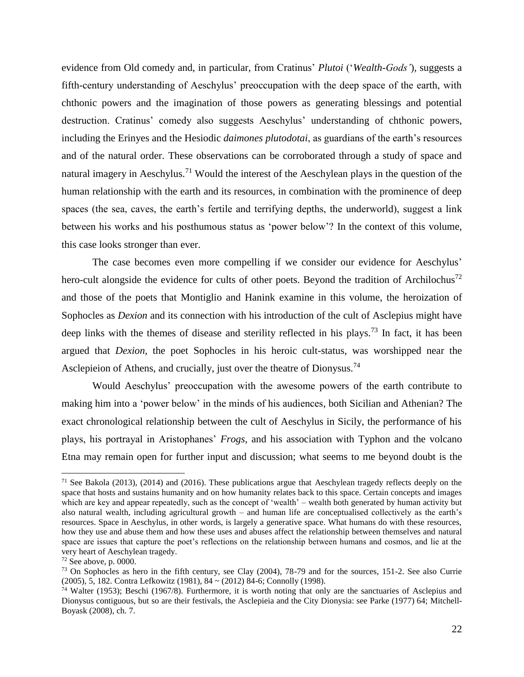evidence from Old comedy and, in particular, from Cratinus' *Plutoi* ('*Wealth-Gods'*)*,* suggests a fifth-century understanding of Aeschylus' preoccupation with the deep space of the earth, with chthonic powers and the imagination of those powers as generating blessings and potential destruction. Cratinus' comedy also suggests Aeschylus' understanding of chthonic powers, including the Erinyes and the Hesiodic *daimones plutodotai*, as guardians of the earth's resources and of the natural order. These observations can be corroborated through a study of space and natural imagery in Aeschylus.<sup>71</sup> Would the interest of the Aeschylean plays in the question of the human relationship with the earth and its resources, in combination with the prominence of deep spaces (the sea, caves, the earth's fertile and terrifying depths, the underworld), suggest a link between his works and his posthumous status as 'power below'? In the context of this volume, this case looks stronger than ever.

The case becomes even more compelling if we consider our evidence for Aeschylus' hero-cult alongside the evidence for cults of other poets. Beyond the tradition of Archilochus<sup>72</sup> and those of the poets that Montiglio and Hanink examine in this volume, the heroization of Sophocles as *Dexion* and its connection with his introduction of the cult of Asclepius might have deep links with the themes of disease and sterility reflected in his plays.<sup>73</sup> In fact, it has been argued that *Dexion,* the poet Sophocles in his heroic cult-status, was worshipped near the Asclepieion of Athens, and crucially, just over the theatre of Dionysus.<sup>74</sup>

Would Aeschylus' preoccupation with the awesome powers of the earth contribute to making him into a 'power below' in the minds of his audiences, both Sicilian and Athenian? The exact chronological relationship between the cult of Aeschylus in Sicily, the performance of his plays, his portrayal in Aristophanes' *Frogs*, and his association with Typhon and the volcano Etna may remain open for further input and discussion; what seems to me beyond doubt is the

<sup>&</sup>lt;sup>71</sup> See Bakola (2013), (2014) and (2016). These publications argue that Aeschylean tragedy reflects deeply on the space that hosts and sustains humanity and on how humanity relates back to this space. Certain concepts and images which are key and appear repeatedly, such as the concept of 'wealth' – wealth both generated by human activity but also natural wealth, including agricultural growth – and human life are conceptualised collectively as the earth's resources. Space in Aeschylus, in other words, is largely a generative space. What humans do with these resources, how they use and abuse them and how these uses and abuses affect the relationship between themselves and natural space are issues that capture the poet's reflections on the relationship between humans and cosmos, and lie at the very heart of Aeschylean tragedy.

 $72$  See above, p. 0000.

<sup>&</sup>lt;sup>73</sup> On Sophocles as hero in the fifth century, see Clay (2004), 78-79 and for the sources, 151-2. See also Currie (2005), 5, 182. Contra Lefkowitz (1981), 84 ~ (2012) 84-6; Connolly (1998).

<sup>74</sup> Walter (1953); Beschi (1967/8). Furthermore, it is worth noting that only are the sanctuaries of Asclepius and Dionysus contiguous, but so are their festivals, the Asclepieia and the City Dionysia: see Parke (1977) 64; Mitchell-Boyask (2008), ch. 7.